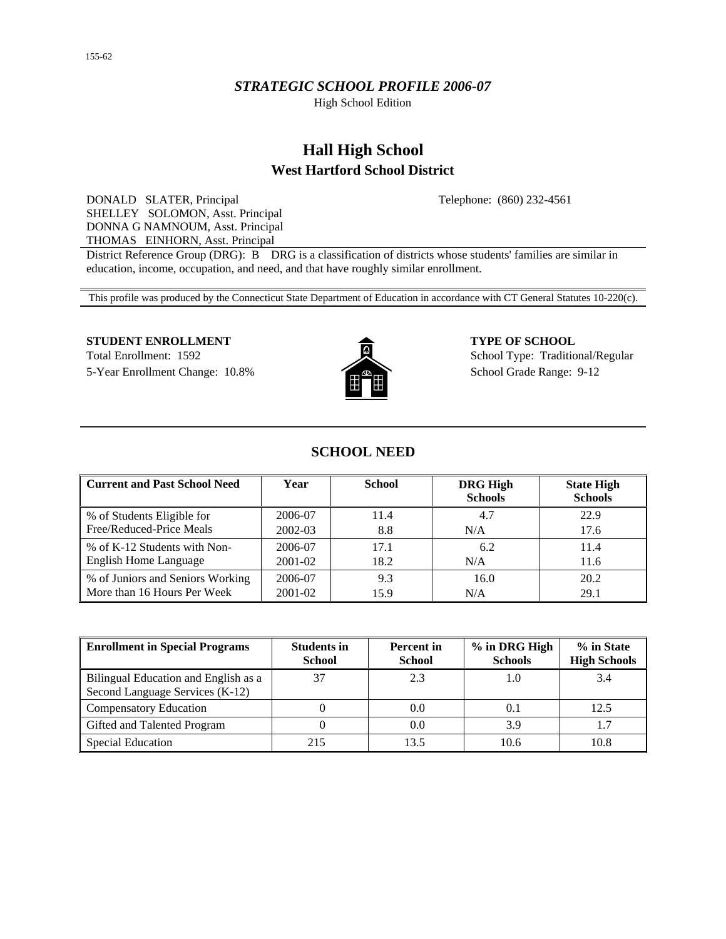## *STRATEGIC SCHOOL PROFILE 2006-07*

High School Edition

# **Hall High School West Hartford School District**

Telephone: (860) 232-4561

DONALD SLATER, Principal SHELLEY SOLOMON, Asst. Principal DONNA G NAMNOUM, Asst. Principal THOMAS EINHORN, Asst. Principal

District Reference Group (DRG): B DRG is a classification of districts whose students' families are similar in education, income, occupation, and need, and that have roughly similar enrollment.

This profile was produced by the Connecticut State Department of Education in accordance with CT General Statutes 10-220(c).

### **STUDENT ENROLLMENT 4 2 5 5 6 6 6 6 7 YPE OF SCHOOL**

Total Enrollment: 1592 School Type: Traditional/Regular 5-Year Enrollment Change: 10.8% School Grade Range: 9-12



# **SCHOOL NEED**

| <b>Current and Past School Need</b> | Year    | <b>School</b> | <b>DRG High</b><br><b>Schools</b> | <b>State High</b><br><b>Schools</b> |
|-------------------------------------|---------|---------------|-----------------------------------|-------------------------------------|
| % of Students Eligible for          | 2006-07 | 11.4          | 4.7                               | 22.9                                |
| Free/Reduced-Price Meals            | 2002-03 | 8.8           | N/A                               | 17.6                                |
| % of K-12 Students with Non-        | 2006-07 | 17.1          | 6.2                               | 11.4                                |
| <b>English Home Language</b>        | 2001-02 | 18.2          | N/A                               | 11.6                                |
| % of Juniors and Seniors Working    | 2006-07 | 9.3           | 16.0                              | 20.2                                |
| More than 16 Hours Per Week         | 2001-02 | 15.9          | N/A                               | 29.1                                |

| <b>Enrollment in Special Programs</b>                                   | <b>Students in</b><br><b>School</b> | <b>Percent</b> in<br><b>School</b> | % in DRG High<br><b>Schools</b> | % in State<br><b>High Schools</b> |
|-------------------------------------------------------------------------|-------------------------------------|------------------------------------|---------------------------------|-----------------------------------|
| Bilingual Education and English as a<br>Second Language Services (K-12) |                                     | 2.3                                |                                 | 3.4                               |
| <b>Compensatory Education</b>                                           |                                     | 0.0                                |                                 | 12.5                              |
| Gifted and Talented Program                                             |                                     | 0.0                                | 3.9                             |                                   |
| <b>Special Education</b>                                                | 215                                 | 13.5                               | 10.6                            | 10.8                              |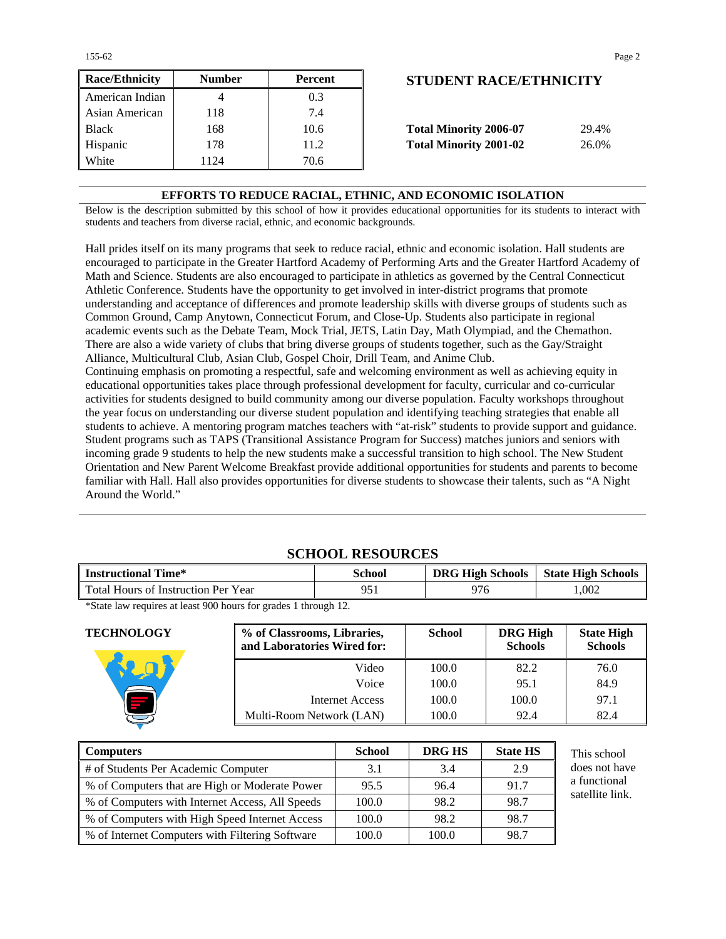| <b>Race/Ethnicity</b> | <b>Number</b> | <b>Percent</b> | <b>STUDENT RACE/ETHNICITY</b>          |
|-----------------------|---------------|----------------|----------------------------------------|
| American Indian       |               | 0.3            |                                        |
| Asian American        | 118           | 7.4            |                                        |
| <b>Black</b>          | 168           | 10.6           | <b>Total Minority 2006-07</b><br>29.4% |
| Hispanic              | 178           | 11.2           | <b>Total Minority 2001-02</b><br>26.0% |
| White                 | 1124          | 70.6           |                                        |

# **STUDENT RACE/ETHNICITY**

| <b>Total Minority 2006-07</b> | 29.4% |
|-------------------------------|-------|
| <b>Total Minority 2001-02</b> | 26.0% |

## **EFFORTS TO REDUCE RACIAL, ETHNIC, AND ECONOMIC ISOLATION**

Below is the description submitted by this school of how it provides educational opportunities for its students to interact with students and teachers from diverse racial, ethnic, and economic backgrounds.

Hall prides itself on its many programs that seek to reduce racial, ethnic and economic isolation. Hall students are encouraged to participate in the Greater Hartford Academy of Performing Arts and the Greater Hartford Academy of Math and Science. Students are also encouraged to participate in athletics as governed by the Central Connecticut Athletic Conference. Students have the opportunity to get involved in inter-district programs that promote understanding and acceptance of differences and promote leadership skills with diverse groups of students such as Common Ground, Camp Anytown, Connecticut Forum, and Close-Up. Students also participate in regional academic events such as the Debate Team, Mock Trial, JETS, Latin Day, Math Olympiad, and the Chemathon. There are also a wide variety of clubs that bring diverse groups of students together, such as the Gay/Straight Alliance, Multicultural Club, Asian Club, Gospel Choir, Drill Team, and Anime Club.

Continuing emphasis on promoting a respectful, safe and welcoming environment as well as achieving equity in educational opportunities takes place through professional development for faculty, curricular and co-curricular activities for students designed to build community among our diverse population. Faculty workshops throughout the year focus on understanding our diverse student population and identifying teaching strategies that enable all students to achieve. A mentoring program matches teachers with "at-risk" students to provide support and guidance. Student programs such as TAPS (Transitional Assistance Program for Success) matches juniors and seniors with incoming grade 9 students to help the new students make a successful transition to high school. The New Student Orientation and New Parent Welcome Breakfast provide additional opportunities for students and parents to become familiar with Hall. Hall also provides opportunities for diverse students to showcase their talents, such as "A Night Around the World."

## **SCHOOL RESOURCES**

| 976                                                | <b>State High Schools</b> |
|----------------------------------------------------|---------------------------|
| .002<br>Total Hours of Instruction Per Year<br>951 |                           |

\*State law requires at least 900 hours for grades 1 through 12.

| <b>TECHNOLOGY</b> | % of Classrooms, Libraries,<br>and Laboratories Wired for: | <b>School</b> | <b>DRG High</b><br><b>Schools</b> | <b>State High</b><br><b>Schools</b> |
|-------------------|------------------------------------------------------------|---------------|-----------------------------------|-------------------------------------|
|                   | Video                                                      | 100.0         | 82.2                              | 76.0                                |
|                   | Voice                                                      | 100.0         | 95.1                              | 84.9                                |
|                   | Internet Access                                            | 100.0         | 100.0                             | 97.1                                |
|                   | Multi-Room Network (LAN)                                   | 100.0         | 92.4                              | 82.4                                |

| <b>Computers</b>                                | <b>School</b> | DRG HS | <b>State HS</b> | This school     |
|-------------------------------------------------|---------------|--------|-----------------|-----------------|
| # of Students Per Academic Computer             | 3.1           | 3.4    | 2.9             | does not have   |
| % of Computers that are High or Moderate Power  | 95.5          | 96.4   | 91.7            | a functional    |
| % of Computers with Internet Access, All Speeds | 100.0         | 98.2   | 98.7            | satellite link. |
| % of Computers with High Speed Internet Access  | 100.0         | 98.2   | 98.7            |                 |
| % of Internet Computers with Filtering Software | 100.0         | 100.0  | 98.7            |                 |

155-62 Page 2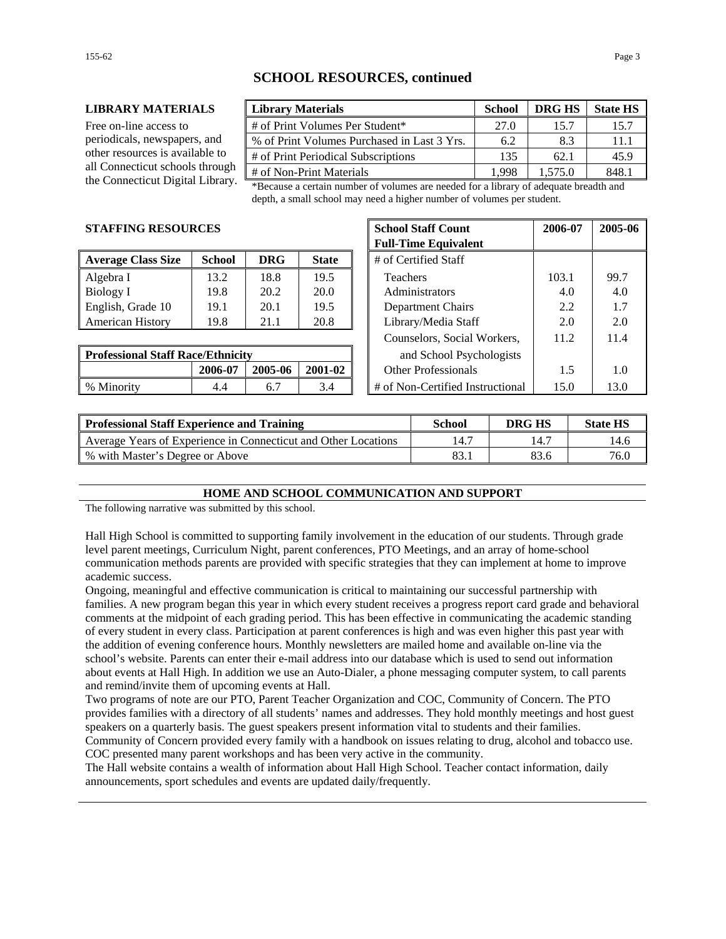# **SCHOOL RESOURCES, continued**

#### **LIBRARY MATERIALS Library Materials School DRG HS State HS**

Free on-line access to periodicals, newspapers, and other resources is available to all Connecticut schools through

| <b>Library Materials</b>                    | <b>School</b> | <b>DRG HS</b> | <b>State HS</b> |
|---------------------------------------------|---------------|---------------|-----------------|
| # of Print Volumes Per Student*             | 27.0          | 15.7          | 15.7            |
| % of Print Volumes Purchased in Last 3 Yrs. | 6.2           | 8.3           | 11.1            |
| # of Print Periodical Subscriptions         | 135           | 62.1          | 45.9            |
| # of Non-Print Materials                    | 1 998         | 1.575.0       | 8481            |

the Connecticut Digital Library. \*Because a certain number of volumes are needed for a library of adequate breadth and depth, a small school may need a higher number of volumes per student.

#### **STAFFING RESOURCES**

| <b>Average Class Size</b> | <b>School</b> | <b>DRG</b> | <b>State</b> | # of Certified Staff     |       |      |
|---------------------------|---------------|------------|--------------|--------------------------|-------|------|
| Algebra I                 | 13.2          | 18.8       | 19.5         | <b>Teachers</b>          | 103.1 | 99.7 |
| Biology I                 | 19.8          | 20.2       | 20.0         | Administrators           | 4.0   | 4.0  |
| English, Grade 10         | 19.1          | 20.1       | 19.5         | <b>Department Chairs</b> | 2.2   | 1.7  |
| <b>American History</b>   | 19.8          | 21.1       | 20.8         | Library/Media Staff      | 2.0   | 2.0  |

| <b>Professional Staff Race/Ethnicity</b> |         |         | and School Psychologists |                                  |      |
|------------------------------------------|---------|---------|--------------------------|----------------------------------|------|
|                                          | 2006-07 | 2005-06 | 2001-02                  | Other Professionals<br>          |      |
| % Minority                               | 4.4     | o.,     |                          | # of Non-Certified Instructional | 13.0 |

| CES           |            |                          |  | <b>School Staff Count</b><br><b>Full-Time Equivalent</b> | 2006-07 | 2005-06 |
|---------------|------------|--------------------------|--|----------------------------------------------------------|---------|---------|
| <b>School</b> | <b>DRG</b> | <b>State</b>             |  | # of Certified Staff                                     |         |         |
| 13.2          | 18.8       | 19.5                     |  | <b>Teachers</b>                                          | 103.1   | 99.7    |
| 19.8          | 20.2       | 20.0                     |  | Administrators                                           | 4.0     | 4.0     |
| 19.1          | 20.1       | 19.5                     |  | Department Chairs                                        | 2.2     | 1.7     |
| 19.8          | 21.1       | 20.8                     |  | Library/Media Staff                                      | 2.0     | 2.0     |
|               |            |                          |  | Counselors, Social Workers,                              | 11.2    | 11.4    |
| e/Ethnicity   |            | and School Psychologists |  |                                                          |         |         |
| 2006-07       | 2005-06    | 2001-02                  |  | <b>Other Professionals</b>                               | 1.5     | 1.0     |
| 4.4           | 6.7        | 3.4                      |  | # of Non-Certified Instructional                         | 15.0    | 13.0    |

| <b>Professional Staff Experience and Training</b>              | School | DRG HS | <b>State HS</b> |
|----------------------------------------------------------------|--------|--------|-----------------|
| Average Years of Experience in Connecticut and Other Locations | 14.7   |        | 14.6            |
| % with Master's Degree or Above                                | 83.    | 83.6   | 76.0            |

### **HOME AND SCHOOL COMMUNICATION AND SUPPORT**

The following narrative was submitted by this school.

Hall High School is committed to supporting family involvement in the education of our students. Through grade level parent meetings, Curriculum Night, parent conferences, PTO Meetings, and an array of home-school communication methods parents are provided with specific strategies that they can implement at home to improve academic success.

Ongoing, meaningful and effective communication is critical to maintaining our successful partnership with families. A new program began this year in which every student receives a progress report card grade and behavioral comments at the midpoint of each grading period. This has been effective in communicating the academic standing of every student in every class. Participation at parent conferences is high and was even higher this past year with the addition of evening conference hours. Monthly newsletters are mailed home and available on-line via the school's website. Parents can enter their e-mail address into our database which is used to send out information about events at Hall High. In addition we use an Auto-Dialer, a phone messaging computer system, to call parents and remind/invite them of upcoming events at Hall.

Two programs of note are our PTO, Parent Teacher Organization and COC, Community of Concern. The PTO provides families with a directory of all students' names and addresses. They hold monthly meetings and host guest speakers on a quarterly basis. The guest speakers present information vital to students and their families. Community of Concern provided every family with a handbook on issues relating to drug, alcohol and tobacco use. COC presented many parent workshops and has been very active in the community.

The Hall website contains a wealth of information about Hall High School. Teacher contact information, daily announcements, sport schedules and events are updated daily/frequently.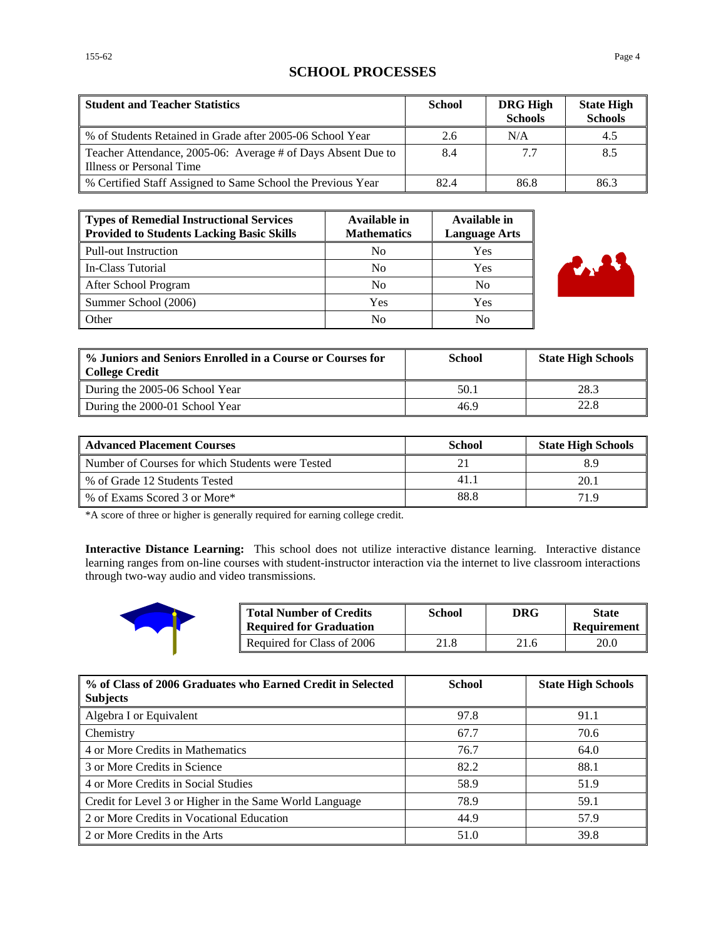# **SCHOOL PROCESSES**

| <b>Student and Teacher Statistics</b>                                                    | <b>School</b> | <b>DRG High</b><br><b>Schools</b> | <b>State High</b><br><b>Schools</b> |
|------------------------------------------------------------------------------------------|---------------|-----------------------------------|-------------------------------------|
| % of Students Retained in Grade after 2005-06 School Year                                | 2.6           | N/A                               | 4.5                                 |
| Teacher Attendance, 2005-06: Average # of Days Absent Due to<br>Illness or Personal Time | 8.4           | 7.7                               | 8.5                                 |
| % Certified Staff Assigned to Same School the Previous Year                              | 82.4          | 86.8                              | 86.3                                |

| Types of Remedial Instructional Services<br><b>Provided to Students Lacking Basic Skills</b> | Available in<br><b>Mathematics</b> | <b>Available in</b><br><b>Language Arts</b> |
|----------------------------------------------------------------------------------------------|------------------------------------|---------------------------------------------|
| Pull-out Instruction                                                                         | N <sub>0</sub>                     | Yes                                         |
| In-Class Tutorial                                                                            | N <sub>0</sub>                     | Yes                                         |
| After School Program                                                                         | N <sub>0</sub>                     | No                                          |
| Summer School (2006)                                                                         | Yes                                | Yes                                         |
| Other                                                                                        | No                                 | No                                          |



| % Juniors and Seniors Enrolled in a Course or Courses for<br><b>College Credit</b> | School | <b>State High Schools</b> |
|------------------------------------------------------------------------------------|--------|---------------------------|
| During the 2005-06 School Year                                                     | 50.1   | 28.3                      |
| During the 2000-01 School Year                                                     | 46.9   | 22.8                      |

| <b>Advanced Placement Courses</b>                | <b>School</b> | <b>State High Schools</b> |
|--------------------------------------------------|---------------|---------------------------|
| Number of Courses for which Students were Tested |               |                           |
| % of Grade 12 Students Tested                    | 41.           | 20.1                      |
| % of Exams Scored 3 or More*                     | 88.8          | 71 Q                      |

\*A score of three or higher is generally required for earning college credit.

**Interactive Distance Learning:** This school does not utilize interactive distance learning. Interactive distance learning ranges from on-line courses with student-instructor interaction via the internet to live classroom interactions through two-way audio and video transmissions.



| <b>Total Number of Credits</b><br><b>Required for Graduation</b> | School | <b>DRG</b> | <b>State</b><br>Requirement |
|------------------------------------------------------------------|--------|------------|-----------------------------|
| Required for Class of 2006                                       | 21.8   | 21.6       | 20.0                        |

| % of Class of 2006 Graduates who Earned Credit in Selected<br><b>Subjects</b> | <b>School</b> | <b>State High Schools</b> |
|-------------------------------------------------------------------------------|---------------|---------------------------|
| Algebra I or Equivalent                                                       | 97.8          | 91.1                      |
| <b>Chemistry</b>                                                              | 67.7          | 70.6                      |
| 4 or More Credits in Mathematics                                              | 76.7          | 64.0                      |
| 3 or More Credits in Science                                                  | 82.2          | 88.1                      |
| 4 or More Credits in Social Studies                                           | 58.9          | 51.9                      |
| Credit for Level 3 or Higher in the Same World Language                       | 78.9          | 59.1                      |
| 2 or More Credits in Vocational Education                                     | 44.9          | 57.9                      |
| 2 or More Credits in the Arts                                                 | 51.0          | 39.8                      |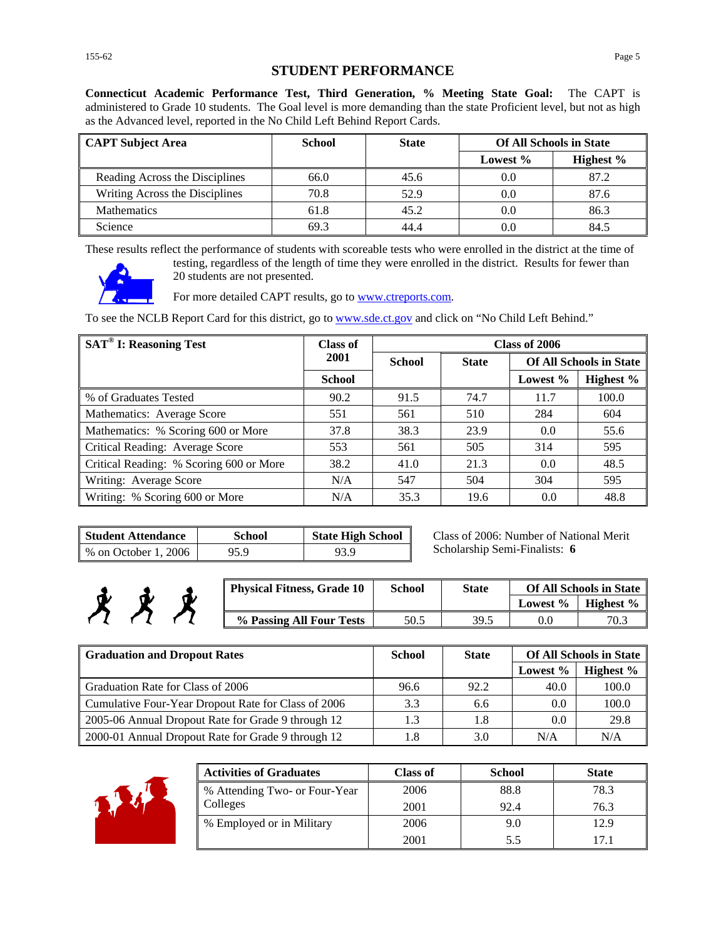**Connecticut Academic Performance Test, Third Generation, % Meeting State Goal:** The CAPT is administered to Grade 10 students. The Goal level is more demanding than the state Proficient level, but not as high as the Advanced level, reported in the No Child Left Behind Report Cards.

| <b>CAPT Subject Area</b>       | School | <b>State</b> | <b>Of All Schools in State</b> |              |
|--------------------------------|--------|--------------|--------------------------------|--------------|
|                                |        |              | Lowest %                       | Highest $\%$ |
| Reading Across the Disciplines | 66.0   | 45.6         | 0.0                            | 87.2         |
| Writing Across the Disciplines | 70.8   | 52.9         | 0.0                            | 87.6         |
| <b>Mathematics</b>             | 61.8   | 45.2         | 0.0                            | 86.3         |
| Science                        | 69.3   | 44.4         | 0.0                            | 84.5         |

These results reflect the performance of students with scoreable tests who were enrolled in the district at the time of



testing, regardless of the length of time they were enrolled in the district. Results for fewer than 20 students are not presented.

For more detailed CAPT results, go to **www.ctreports.com**.

To see the NCLB Report Card for this district, go to [www.sde.ct.gov](http://www.sde.ct.gov/) and click on "No Child Left Behind."

| <b>SAT<sup>®</sup> I: Reasoning Test</b> | Class of      |               |              | Class of 2006 |                                |
|------------------------------------------|---------------|---------------|--------------|---------------|--------------------------------|
|                                          | 2001          | <b>School</b> | <b>State</b> |               | <b>Of All Schools in State</b> |
|                                          | <b>School</b> |               |              | Lowest $\%$   | Highest %                      |
| % of Graduates Tested                    | 90.2          | 91.5          | 74.7         | 11.7          | 100.0                          |
| Mathematics: Average Score               | 551           | 561           | 510          | 284           | 604                            |
| Mathematics: % Scoring 600 or More       | 37.8          | 38.3          | 23.9         | 0.0           | 55.6                           |
| Critical Reading: Average Score          | 553           | 561           | 505          | 314           | 595                            |
| Critical Reading: % Scoring 600 or More  | 38.2          | 41.0          | 21.3         | 0.0           | 48.5                           |
| Writing: Average Score                   | N/A           | 547           | 504          | 304           | 595                            |
| Writing: % Scoring 600 or More           | N/A           | 35.3          | 19.6         | 0.0           | 48.8                           |

| <b>Student Attendance</b> | <b>School</b> | <b>State High School</b> |
|---------------------------|---------------|--------------------------|
| % on October 1, 2006      | 95.9          | 93.9                     |

Class of 2006: Number of National Merit Scholarship Semi-Finalists: **6**

| <b>Physical Fitness, Grade 10</b> | School | <b>State</b> | <b>Of All Schools in State</b> |           |
|-----------------------------------|--------|--------------|--------------------------------|-----------|
|                                   |        |              | Lowest %                       | Highest % |
| % Passing All Four Tests          | 50.5   | 39.5         |                                | 70.3      |

| <b>Graduation and Dropout Rates</b>                 | <b>School</b> | <b>State</b> | <b>Of All Schools in State</b> |           |
|-----------------------------------------------------|---------------|--------------|--------------------------------|-----------|
|                                                     |               |              | Lowest %                       | Highest % |
| Graduation Rate for Class of 2006                   | 96.6          | 92.2         | 40.0                           | 100.0     |
| Cumulative Four-Year Dropout Rate for Class of 2006 | 3.3           | 6.6          | $0.0\,$                        | 100.0     |
| 2005-06 Annual Dropout Rate for Grade 9 through 12  | 1.3           | 1.8          | 0.0                            | 29.8      |
| 2000-01 Annual Dropout Rate for Grade 9 through 12  | 1.8           | 3.0          | N/A                            | N/A       |



考考

| <b>Activities of Graduates</b> | <b>Class of</b> | <b>School</b> | <b>State</b> |
|--------------------------------|-----------------|---------------|--------------|
| % Attending Two- or Four-Year  | 2006            | 88.8          | 78.3         |
| Colleges                       | 2001            | 92.4          | 76.3         |
| % Employed or in Military      | 2006            | 9.0           | 12.9         |
|                                | 2001            | 5.5           | 171          |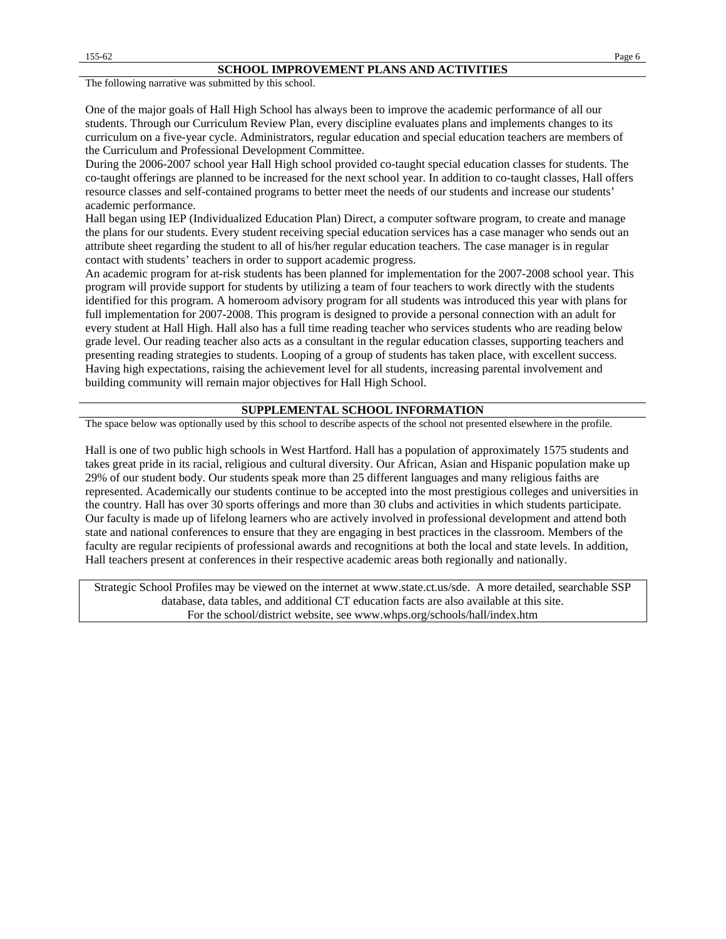The following narrative was submitted by this school.

One of the major goals of Hall High School has always been to improve the academic performance of all our students. Through our Curriculum Review Plan, every discipline evaluates plans and implements changes to its curriculum on a five-year cycle. Administrators, regular education and special education teachers are members of the Curriculum and Professional Development Committee.

During the 2006-2007 school year Hall High school provided co-taught special education classes for students. The co-taught offerings are planned to be increased for the next school year. In addition to co-taught classes, Hall offers resource classes and self-contained programs to better meet the needs of our students and increase our students' academic performance.

Hall began using IEP (Individualized Education Plan) Direct, a computer software program, to create and manage the plans for our students. Every student receiving special education services has a case manager who sends out an attribute sheet regarding the student to all of his/her regular education teachers. The case manager is in regular contact with students' teachers in order to support academic progress.

An academic program for at-risk students has been planned for implementation for the 2007-2008 school year. This program will provide support for students by utilizing a team of four teachers to work directly with the students identified for this program. A homeroom advisory program for all students was introduced this year with plans for full implementation for 2007-2008. This program is designed to provide a personal connection with an adult for every student at Hall High. Hall also has a full time reading teacher who services students who are reading below grade level. Our reading teacher also acts as a consultant in the regular education classes, supporting teachers and presenting reading strategies to students. Looping of a group of students has taken place, with excellent success. Having high expectations, raising the achievement level for all students, increasing parental involvement and building community will remain major objectives for Hall High School.

#### **SUPPLEMENTAL SCHOOL INFORMATION**

The space below was optionally used by this school to describe aspects of the school not presented elsewhere in the profile.

Hall is one of two public high schools in West Hartford. Hall has a population of approximately 1575 students and takes great pride in its racial, religious and cultural diversity. Our African, Asian and Hispanic population make up 29% of our student body. Our students speak more than 25 different languages and many religious faiths are represented. Academically our students continue to be accepted into the most prestigious colleges and universities in the country. Hall has over 30 sports offerings and more than 30 clubs and activities in which students participate. Our faculty is made up of lifelong learners who are actively involved in professional development and attend both state and national conferences to ensure that they are engaging in best practices in the classroom. Members of the faculty are regular recipients of professional awards and recognitions at both the local and state levels. In addition, Hall teachers present at conferences in their respective academic areas both regionally and nationally.

Strategic School Profiles may be viewed on the internet at www.state.ct.us/sde. A more detailed, searchable SSP database, data tables, and additional CT education facts are also available at this site. For the school/district website, see www.whps.org/schools/hall/index.htm